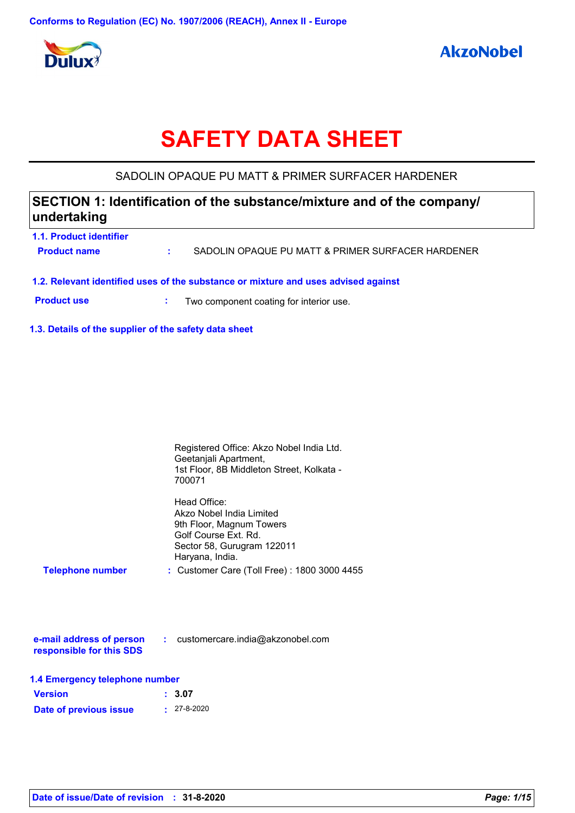

# **SAFETY DATA SHEET**

## SADOLIN OPAQUE PU MATT & PRIMER SURFACER HARDENER

| SECTION 1: Identification of the substance/mixture and of the company/<br>undertaking |  |                                                                                    |
|---------------------------------------------------------------------------------------|--|------------------------------------------------------------------------------------|
| 1.1. Product identifier                                                               |  |                                                                                    |
| <b>Product name</b>                                                                   |  | SADOLIN OPAQUE PU MATT & PRIMER SURFACER HARDENER                                  |
|                                                                                       |  | 1.2. Relevant identified uses of the substance or mixture and uses advised against |
| <b>Product use</b>                                                                    |  | Two component coating for interior use.                                            |

**1.3. Details of the supplier of the safety data sheet**

|                                | Registered Office: Akzo Nobel India Ltd.<br>Geetanjali Apartment,<br>1st Floor, 8B Middleton Street, Kolkata -<br>700071                      |
|--------------------------------|-----------------------------------------------------------------------------------------------------------------------------------------------|
|                                | Head Office:<br>Akzo Nobel India Limited<br>9th Floor, Magnum Towers<br>Golf Course Ext. Rd.<br>Sector 58, Gurugram 122011<br>Haryana, India. |
| <b>Telephone number</b>        | : Customer Care (Toll Free) : 1800 3000 4455                                                                                                  |
|                                | e-mail address of person : customercare.india@akzonobel.com                                                                                   |
| responsible for this SDS       |                                                                                                                                               |
| 1.4 Emergency telephone number |                                                                                                                                               |
| <b>Version</b>                 | 3.07                                                                                                                                          |

| Date of previous issue | $: 27 - 8 - 2020$ |
|------------------------|-------------------|
|                        |                   |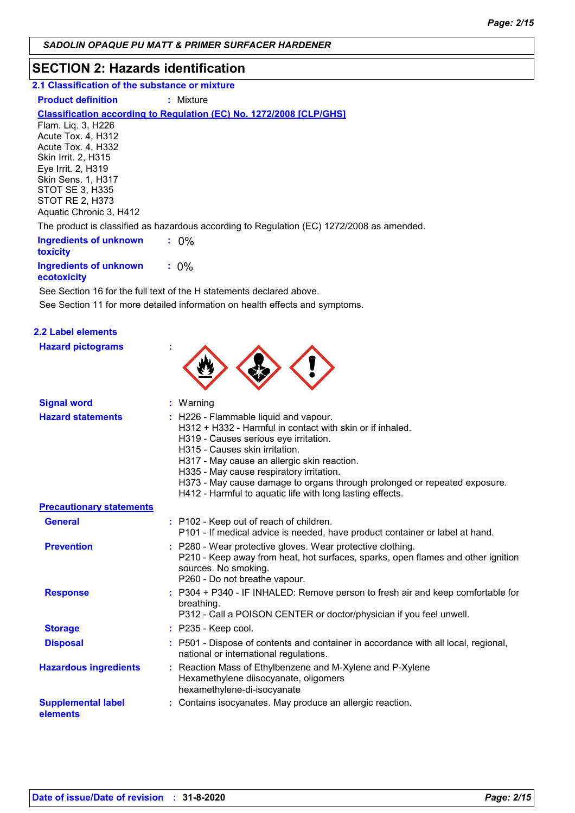## **SECTION 2: Hazards identification**

**2.1 Classification of the substance or mixture**

**Product definition : Mixture** 

#### **Classification according to Regulation (EC) No. 1272/2008 [CLP/GHS]**

Flam. Liq. 3, H226 Acute Tox. 4, H312 Acute Tox. 4, H332 Skin Irrit. 2, H315 Eye Irrit. 2, H319 Skin Sens. 1, H317 STOT SE 3, H335 STOT RE 2, H373 Aquatic Chronic 3, H412

The product is classified as hazardous according to Regulation (EC) 1272/2008 as amended.

| Ingredients of unknown<br><b>toxicity</b>    | $: 0\%$ |  |
|----------------------------------------------|---------|--|
| Ingredients of unknown<br><b>Acotoxicity</b> | $: 0\%$ |  |

**ecotoxicity** See Section 16 for the full text of the H statements declared above.

See Section 11 for more detailed information on health effects and symptoms.

## **2.2 Label elements**

**Hazard pictograms :**



| <b>Signal word</b>                    | $:$ Warning                                                                                                                                                                                                                                                                                                                                                                                                          |
|---------------------------------------|----------------------------------------------------------------------------------------------------------------------------------------------------------------------------------------------------------------------------------------------------------------------------------------------------------------------------------------------------------------------------------------------------------------------|
| <b>Hazard statements</b>              | : H226 - Flammable liquid and vapour.<br>$H312 + H332$ - Harmful in contact with skin or if inhaled.<br>H319 - Causes serious eye irritation.<br>H315 - Causes skin irritation.<br>H317 - May cause an allergic skin reaction.<br>H335 - May cause respiratory irritation.<br>H373 - May cause damage to organs through prolonged or repeated exposure.<br>H412 - Harmful to aquatic life with long lasting effects. |
| <b>Precautionary statements</b>       |                                                                                                                                                                                                                                                                                                                                                                                                                      |
| <b>General</b>                        | : P102 - Keep out of reach of children.<br>P101 - If medical advice is needed, have product container or label at hand.                                                                                                                                                                                                                                                                                              |
| <b>Prevention</b>                     | : P280 - Wear protective gloves. Wear protective clothing.<br>P210 - Keep away from heat, hot surfaces, sparks, open flames and other ignition<br>sources. No smoking.<br>P260 - Do not breathe vapour.                                                                                                                                                                                                              |
| <b>Response</b>                       | : P304 + P340 - IF INHALED: Remove person to fresh air and keep comfortable for<br>breathing.<br>P312 - Call a POISON CENTER or doctor/physician if you feel unwell.                                                                                                                                                                                                                                                 |
| <b>Storage</b>                        | $:$ P235 - Keep cool.                                                                                                                                                                                                                                                                                                                                                                                                |
| <b>Disposal</b>                       | : P501 - Dispose of contents and container in accordance with all local, regional,<br>national or international regulations.                                                                                                                                                                                                                                                                                         |
| <b>Hazardous ingredients</b>          | : Reaction Mass of Ethylbenzene and M-Xylene and P-Xylene<br>Hexamethylene diisocyanate, oligomers<br>hexamethylene-di-isocyanate                                                                                                                                                                                                                                                                                    |
| <b>Supplemental label</b><br>elements | : Contains isocyanates. May produce an allergic reaction.                                                                                                                                                                                                                                                                                                                                                            |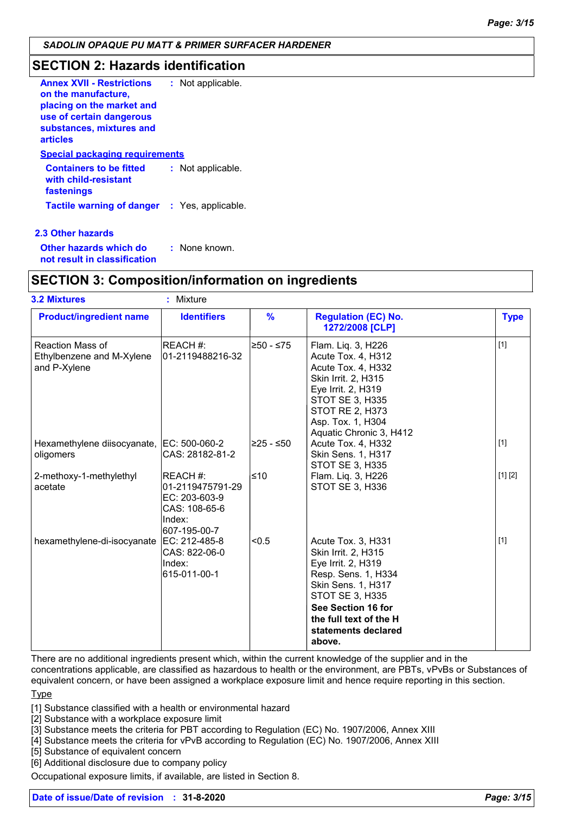## **SECTION 2: Hazards identification**

| : Not applicable.                                   |
|-----------------------------------------------------|
|                                                     |
|                                                     |
| <b>Special packaging requirements</b>               |
| : Not applicable.                                   |
| <b>Tactile warning of danger : Yes, applicable.</b> |
|                                                     |

#### **2.3 Other hazards**

**Other hazards which do : not result in classification** : None known.

## **SECTION 3: Composition/information on ingredients**

| <b>3.2 Mixtures</b>                                                  | ×.<br>Mixture                                                                                    |                |                                                                                                                                                                                                                         |             |
|----------------------------------------------------------------------|--------------------------------------------------------------------------------------------------|----------------|-------------------------------------------------------------------------------------------------------------------------------------------------------------------------------------------------------------------------|-------------|
| <b>Product/ingredient name</b>                                       | <b>Identifiers</b>                                                                               | $\frac{9}{6}$  | <b>Regulation (EC) No.</b><br>1272/2008 [CLP]                                                                                                                                                                           | <b>Type</b> |
| <b>Reaction Mass of</b><br>Ethylbenzene and M-Xylene<br>and P-Xylene | REACH #:<br>01-2119488216-32                                                                     | l≥50 - ≤75     | Flam. Liq. 3, H226<br>Acute Tox. 4, H312<br>Acute Tox. 4, H332<br>Skin Irrit. 2, H315<br>Eye Irrit. 2, H319<br><b>STOT SE 3, H335</b><br><b>STOT RE 2, H373</b><br>Asp. Tox. 1, H304<br>Aquatic Chronic 3, H412         | $[1]$       |
| Hexamethylene diisocyanate, EC: 500-060-2<br>oligomers               | CAS: 28182-81-2                                                                                  | 225 - ≤50∣     | Acute Tox. 4, H332<br>Skin Sens. 1, H317<br>STOT SE 3, H335                                                                                                                                                             | $[1]$       |
| 2-methoxy-1-methylethyl<br>acetate                                   | <b>IREACH</b> #:<br>01-2119475791-29<br>EC: 203-603-9<br>CAS: 108-65-6<br>Index:<br>607-195-00-7 | l≤10           | Flam. Liq. 3, H226<br>STOT SE 3, H336                                                                                                                                                                                   | [1] [2]     |
| hexamethylene-di-isocyanate                                          | EC: 212-485-8<br>CAS: 822-06-0<br>Index:<br>615-011-00-1                                         | <sub>0.5</sub> | Acute Tox. 3, H331<br>Skin Irrit. 2, H315<br>Eye Irrit. 2, H319<br>Resp. Sens. 1, H334<br>Skin Sens. 1, H317<br><b>STOT SE 3, H335</b><br>See Section 16 for<br>the full text of the H<br>statements declared<br>above. | $[1]$       |

There are no additional ingredients present which, within the current knowledge of the supplier and in the

concentrations applicable, are classified as hazardous to health or the environment, are PBTs, vPvBs or Substances of equivalent concern, or have been assigned a workplace exposure limit and hence require reporting in this section.

#### Type

[1] Substance classified with a health or environmental hazard

[2] Substance with a workplace exposure limit

[3] Substance meets the criteria for PBT according to Regulation (EC) No. 1907/2006, Annex XIII

[4] Substance meets the criteria for vPvB according to Regulation (EC) No. 1907/2006, Annex XIII

[5] Substance of equivalent concern

[6] Additional disclosure due to company policy

Occupational exposure limits, if available, are listed in Section 8.

## **Date of issue/Date of revision : 31-8-2020** *Page: 3/15*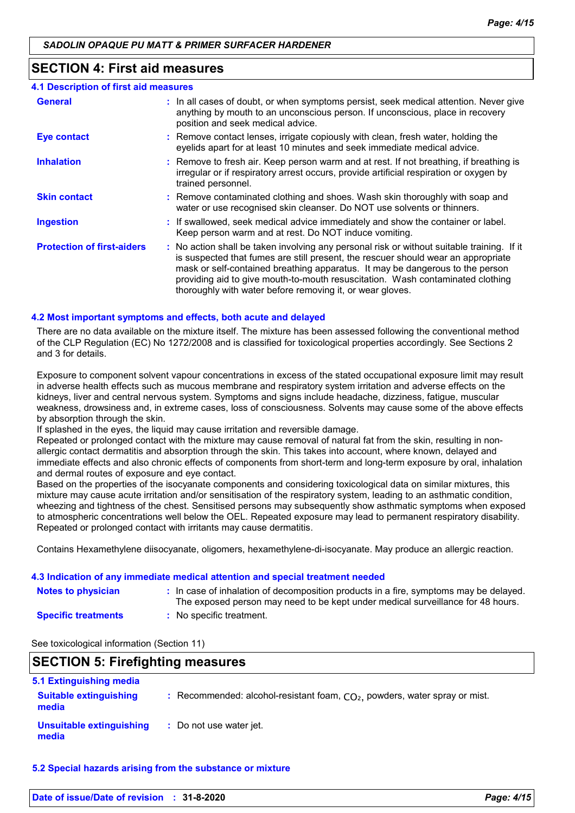## **SECTION 4: First aid measures**

| <b>4.1 Description of first aid measures</b> |                                                                                                                                                                                                                                                                                                                                                                                                                 |
|----------------------------------------------|-----------------------------------------------------------------------------------------------------------------------------------------------------------------------------------------------------------------------------------------------------------------------------------------------------------------------------------------------------------------------------------------------------------------|
| <b>General</b>                               | : In all cases of doubt, or when symptoms persist, seek medical attention. Never give<br>anything by mouth to an unconscious person. If unconscious, place in recovery<br>position and seek medical advice.                                                                                                                                                                                                     |
| <b>Eye contact</b>                           | : Remove contact lenses, irrigate copiously with clean, fresh water, holding the<br>eyelids apart for at least 10 minutes and seek immediate medical advice.                                                                                                                                                                                                                                                    |
| <b>Inhalation</b>                            | : Remove to fresh air. Keep person warm and at rest. If not breathing, if breathing is<br>irregular or if respiratory arrest occurs, provide artificial respiration or oxygen by<br>trained personnel.                                                                                                                                                                                                          |
| <b>Skin contact</b>                          | : Remove contaminated clothing and shoes. Wash skin thoroughly with soap and<br>water or use recognised skin cleanser. Do NOT use solvents or thinners.                                                                                                                                                                                                                                                         |
| <b>Ingestion</b>                             | : If swallowed, seek medical advice immediately and show the container or label.<br>Keep person warm and at rest. Do NOT induce vomiting.                                                                                                                                                                                                                                                                       |
| <b>Protection of first-aiders</b>            | : No action shall be taken involving any personal risk or without suitable training. If it<br>is suspected that fumes are still present, the rescuer should wear an appropriate<br>mask or self-contained breathing apparatus. It may be dangerous to the person<br>providing aid to give mouth-to-mouth resuscitation. Wash contaminated clothing<br>thoroughly with water before removing it, or wear gloves. |

#### **4.2 Most important symptoms and effects, both acute and delayed**

There are no data available on the mixture itself. The mixture has been assessed following the conventional method of the CLP Regulation (EC) No 1272/2008 and is classified for toxicological properties accordingly. See Sections 2 and 3 for details.

Exposure to component solvent vapour concentrations in excess of the stated occupational exposure limit may result in adverse health effects such as mucous membrane and respiratory system irritation and adverse effects on the kidneys, liver and central nervous system. Symptoms and signs include headache, dizziness, fatigue, muscular weakness, drowsiness and, in extreme cases, loss of consciousness. Solvents may cause some of the above effects by absorption through the skin.

If splashed in the eyes, the liquid may cause irritation and reversible damage.

Repeated or prolonged contact with the mixture may cause removal of natural fat from the skin, resulting in nonallergic contact dermatitis and absorption through the skin. This takes into account, where known, delayed and immediate effects and also chronic effects of components from short-term and long-term exposure by oral, inhalation and dermal routes of exposure and eye contact.

Based on the properties of the isocyanate components and considering toxicological data on similar mixtures, this mixture may cause acute irritation and/or sensitisation of the respiratory system, leading to an asthmatic condition, wheezing and tightness of the chest. Sensitised persons may subsequently show asthmatic symptoms when exposed to atmospheric concentrations well below the OEL. Repeated exposure may lead to permanent respiratory disability. Repeated or prolonged contact with irritants may cause dermatitis.

Contains Hexamethylene diisocyanate, oligomers, hexamethylene-di-isocyanate. May produce an allergic reaction.

#### **4.3 Indication of any immediate medical attention and special treatment needed**

| <b>Notes to physician</b>  | : In case of inhalation of decomposition products in a fire, symptoms may be delayed.<br>The exposed person may need to be kept under medical surveillance for 48 hours. |
|----------------------------|--------------------------------------------------------------------------------------------------------------------------------------------------------------------------|
| <b>Specific treatments</b> | : No specific treatment.                                                                                                                                                 |

See toxicological information (Section 11)

## **SECTION 5: Firefighting measures**

| 5.1 Extinguishing media                |                                                                              |
|----------------------------------------|------------------------------------------------------------------------------|
| <b>Suitable extinguishing</b><br>media | : Recommended: alcohol-resistant foam, $CO2$ , powders, water spray or mist. |
| Unsuitable extinguishing<br>media      | : Do not use water jet.                                                      |

#### **5.2 Special hazards arising from the substance or mixture**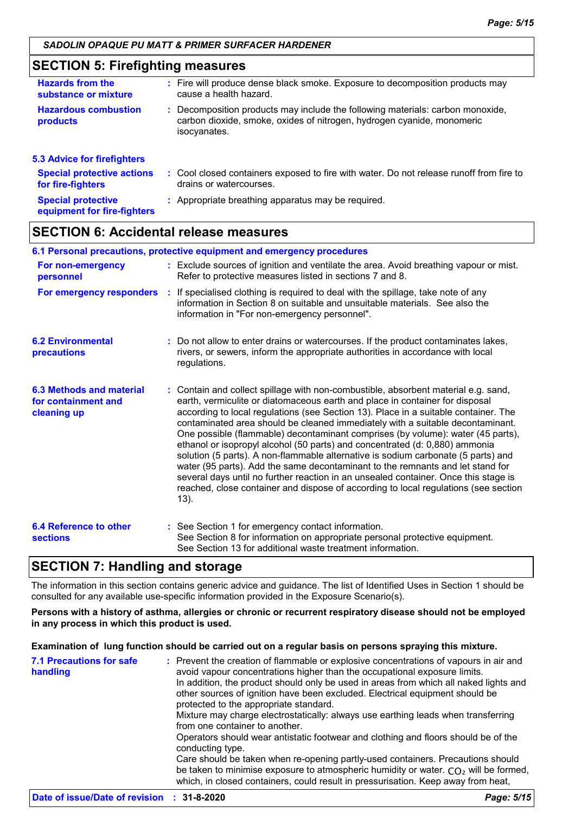## **SECTION 5: Firefighting measures**

| <b>Hazards from the</b><br>substance or mixture          | : Fire will produce dense black smoke. Exposure to decomposition products may<br>cause a health hazard.                                                                  |
|----------------------------------------------------------|--------------------------------------------------------------------------------------------------------------------------------------------------------------------------|
| <b>Hazardous combustion</b><br>products                  | : Decomposition products may include the following materials: carbon monoxide,<br>carbon dioxide, smoke, oxides of nitrogen, hydrogen cyanide, monomeric<br>isocyanates. |
| <b>5.3 Advice for firefighters</b>                       |                                                                                                                                                                          |
| <b>Special protective actions</b><br>for fire-fighters   | : Cool closed containers exposed to fire with water. Do not release runoff from fire to<br>drains or watercourses.                                                       |
| <b>Special protective</b><br>equipment for fire-fighters | : Appropriate breathing apparatus may be required.                                                                                                                       |

## **SECTION 6: Accidental release measures**

|                                                                       | 6.1 Personal precautions, protective equipment and emergency procedures                                                                                                                                                                                                                                                                                                                                                                                                                                                                                                                                                                                                                                                                                                                                                                                                    |
|-----------------------------------------------------------------------|----------------------------------------------------------------------------------------------------------------------------------------------------------------------------------------------------------------------------------------------------------------------------------------------------------------------------------------------------------------------------------------------------------------------------------------------------------------------------------------------------------------------------------------------------------------------------------------------------------------------------------------------------------------------------------------------------------------------------------------------------------------------------------------------------------------------------------------------------------------------------|
| For non-emergency<br>personnel                                        | : Exclude sources of ignition and ventilate the area. Avoid breathing vapour or mist.<br>Refer to protective measures listed in sections 7 and 8.                                                                                                                                                                                                                                                                                                                                                                                                                                                                                                                                                                                                                                                                                                                          |
| For emergency responders                                              | : If specialised clothing is required to deal with the spillage, take note of any<br>information in Section 8 on suitable and unsuitable materials. See also the<br>information in "For non-emergency personnel".                                                                                                                                                                                                                                                                                                                                                                                                                                                                                                                                                                                                                                                          |
| <b>6.2 Environmental</b><br>precautions                               | : Do not allow to enter drains or watercourses. If the product contaminates lakes,<br>rivers, or sewers, inform the appropriate authorities in accordance with local<br>regulations.                                                                                                                                                                                                                                                                                                                                                                                                                                                                                                                                                                                                                                                                                       |
| <b>6.3 Methods and material</b><br>for containment and<br>cleaning up | : Contain and collect spillage with non-combustible, absorbent material e.g. sand,<br>earth, vermiculite or diatomaceous earth and place in container for disposal<br>according to local regulations (see Section 13). Place in a suitable container. The<br>contaminated area should be cleaned immediately with a suitable decontaminant.<br>One possible (flammable) decontaminant comprises (by volume): water (45 parts),<br>ethanol or isopropyl alcohol (50 parts) and concentrated (d: 0,880) ammonia<br>solution (5 parts). A non-flammable alternative is sodium carbonate (5 parts) and<br>water (95 parts). Add the same decontaminant to the remnants and let stand for<br>several days until no further reaction in an unsealed container. Once this stage is<br>reached, close container and dispose of according to local regulations (see section<br>13). |
| <b>6.4 Reference to other</b><br><b>sections</b>                      | : See Section 1 for emergency contact information.<br>See Section 8 for information on appropriate personal protective equipment.<br>See Section 13 for additional waste treatment information.                                                                                                                                                                                                                                                                                                                                                                                                                                                                                                                                                                                                                                                                            |

## **SECTION 7: Handling and storage**

The information in this section contains generic advice and guidance. The list of Identified Uses in Section 1 should be consulted for any available use-specific information provided in the Exposure Scenario(s).

**Persons with a history of asthma, allergies or chronic or recurrent respiratory disease should not be employed in any process in which this product is used.**

#### **Examination of lung function should be carried out on a regular basis on persons spraying this mixture.**

| <b>7.1 Precautions for safe</b><br>handling | : Prevent the creation of flammable or explosive concentrations of vapours in air and<br>avoid vapour concentrations higher than the occupational exposure limits.<br>In addition, the product should only be used in areas from which all naked lights and<br>other sources of ignition have been excluded. Electrical equipment should be<br>protected to the appropriate standard.<br>Mixture may charge electrostatically: always use earthing leads when transferring<br>from one container to another.<br>Operators should wear antistatic footwear and clothing and floors should be of the<br>conducting type.<br>Care should be taken when re-opening partly-used containers. Precautions should<br>be taken to minimise exposure to atmospheric humidity or water. $CO2$ will be formed, |
|---------------------------------------------|----------------------------------------------------------------------------------------------------------------------------------------------------------------------------------------------------------------------------------------------------------------------------------------------------------------------------------------------------------------------------------------------------------------------------------------------------------------------------------------------------------------------------------------------------------------------------------------------------------------------------------------------------------------------------------------------------------------------------------------------------------------------------------------------------|
|                                             | which, in closed containers, could result in pressurisation. Keep away from heat,                                                                                                                                                                                                                                                                                                                                                                                                                                                                                                                                                                                                                                                                                                                  |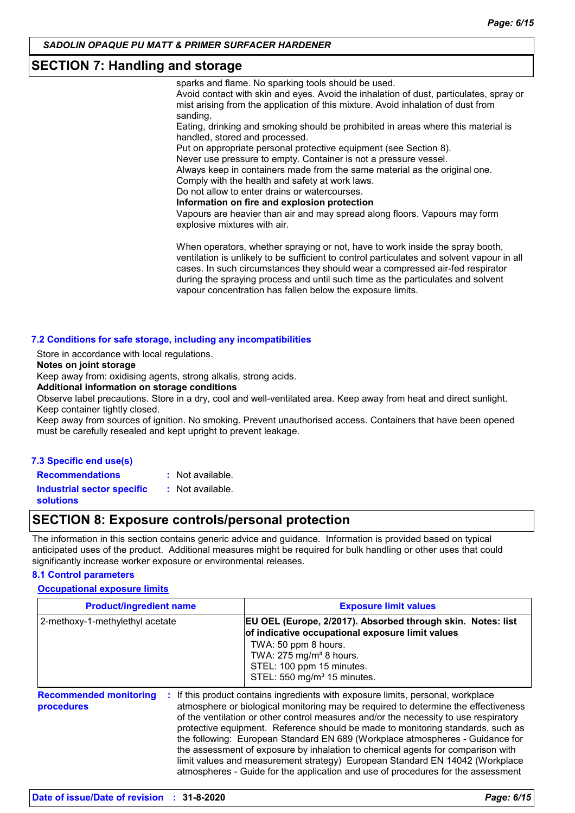## **SECTION 7: Handling and storage**

sparks and flame. No sparking tools should be used.

Avoid contact with skin and eyes. Avoid the inhalation of dust, particulates, spray or mist arising from the application of this mixture. Avoid inhalation of dust from sanding.

Eating, drinking and smoking should be prohibited in areas where this material is handled, stored and processed.

Put on appropriate personal protective equipment (see Section 8).

Never use pressure to empty. Container is not a pressure vessel.

Always keep in containers made from the same material as the original one. Comply with the health and safety at work laws.

Do not allow to enter drains or watercourses.

**Information on fire and explosion protection**

Vapours are heavier than air and may spread along floors. Vapours may form explosive mixtures with air.

When operators, whether spraying or not, have to work inside the spray booth, ventilation is unlikely to be sufficient to control particulates and solvent vapour in all cases. In such circumstances they should wear a compressed air-fed respirator during the spraying process and until such time as the particulates and solvent vapour concentration has fallen below the exposure limits.

#### **7.2 Conditions for safe storage, including any incompatibilities**

Store in accordance with local regulations.

**Notes on joint storage**

Keep away from: oxidising agents, strong alkalis, strong acids.

**Additional information on storage conditions**

Observe label precautions. Store in a dry, cool and well-ventilated area. Keep away from heat and direct sunlight. Keep container tightly closed.

Keep away from sources of ignition. No smoking. Prevent unauthorised access. Containers that have been opened must be carefully resealed and kept upright to prevent leakage.

#### **7.3 Specific end use(s) Recommendations :**

: Not available.

**Industrial sector specific : solutions**

## **SECTION 8: Exposure controls/personal protection**

: Not available.

The information in this section contains generic advice and guidance. Information is provided based on typical anticipated uses of the product. Additional measures might be required for bulk handling or other uses that could significantly increase worker exposure or environmental releases.

## **8.1 Control parameters**

#### **Occupational exposure limits**

| <b>Product/ingredient name</b>                    | <b>Exposure limit values</b>                                                                                                                                                                                                                                                                                                                                                                                                                                                                                                                                                                                                                                                            |
|---------------------------------------------------|-----------------------------------------------------------------------------------------------------------------------------------------------------------------------------------------------------------------------------------------------------------------------------------------------------------------------------------------------------------------------------------------------------------------------------------------------------------------------------------------------------------------------------------------------------------------------------------------------------------------------------------------------------------------------------------------|
| 2-methoxy-1-methylethyl acetate                   | EU OEL (Europe, 2/2017). Absorbed through skin. Notes: list<br>of indicative occupational exposure limit values<br>TWA: 50 ppm 8 hours.<br>TWA: 275 mg/m <sup>3</sup> 8 hours.<br>STEL: 100 ppm 15 minutes.<br>STEL: 550 mg/m <sup>3</sup> 15 minutes.                                                                                                                                                                                                                                                                                                                                                                                                                                  |
| <b>Recommended monitoring</b><br>÷.<br>procedures | If this product contains ingredients with exposure limits, personal, workplace<br>atmosphere or biological monitoring may be required to determine the effectiveness<br>of the ventilation or other control measures and/or the necessity to use respiratory<br>protective equipment. Reference should be made to monitoring standards, such as<br>the following: European Standard EN 689 (Workplace atmospheres - Guidance for<br>the assessment of exposure by inhalation to chemical agents for comparison with<br>limit values and measurement strategy) European Standard EN 14042 (Workplace<br>atmospheres - Guide for the application and use of procedures for the assessment |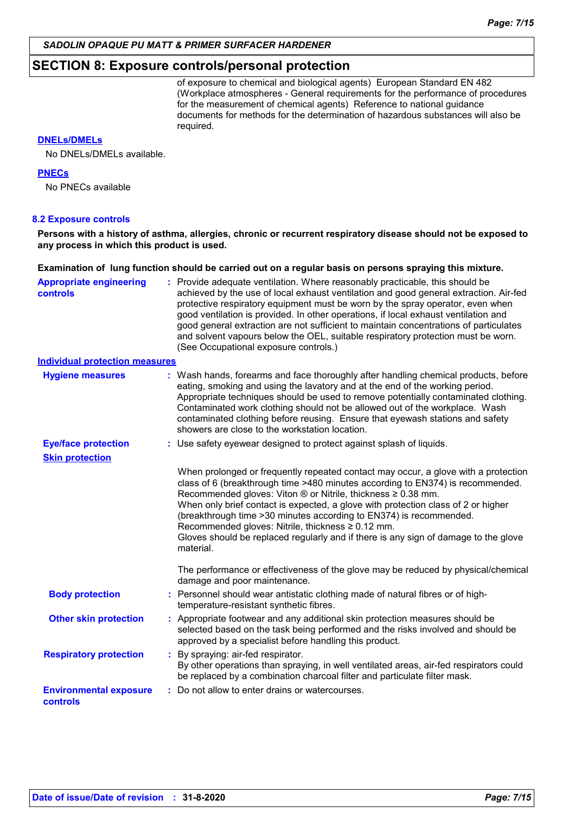## **SECTION 8: Exposure controls/personal protection**

of exposure to chemical and biological agents) European Standard EN 482 (Workplace atmospheres - General requirements for the performance of procedures for the measurement of chemical agents) Reference to national guidance documents for methods for the determination of hazardous substances will also be required.

#### **DNELs/DMELs**

No DNELs/DMELs available.

#### **PNECs**

No PNECs available

#### **8.2 Exposure controls**

**Persons with a history of asthma, allergies, chronic or recurrent respiratory disease should not be exposed to any process in which this product is used.**

#### **Examination of lung function should be carried out on a regular basis on persons spraying this mixture.**

| <b>Appropriate engineering</b><br>controls | : Provide adequate ventilation. Where reasonably practicable, this should be<br>achieved by the use of local exhaust ventilation and good general extraction. Air-fed<br>protective respiratory equipment must be worn by the spray operator, even when<br>good ventilation is provided. In other operations, if local exhaust ventilation and<br>good general extraction are not sufficient to maintain concentrations of particulates<br>and solvent vapours below the OEL, suitable respiratory protection must be worn.<br>(See Occupational exposure controls.)     |
|--------------------------------------------|--------------------------------------------------------------------------------------------------------------------------------------------------------------------------------------------------------------------------------------------------------------------------------------------------------------------------------------------------------------------------------------------------------------------------------------------------------------------------------------------------------------------------------------------------------------------------|
| <b>Individual protection measures</b>      |                                                                                                                                                                                                                                                                                                                                                                                                                                                                                                                                                                          |
| <b>Hygiene measures</b>                    | : Wash hands, forearms and face thoroughly after handling chemical products, before<br>eating, smoking and using the lavatory and at the end of the working period.<br>Appropriate techniques should be used to remove potentially contaminated clothing.<br>Contaminated work clothing should not be allowed out of the workplace. Wash<br>contaminated clothing before reusing. Ensure that eyewash stations and safety<br>showers are close to the workstation location.                                                                                              |
| <b>Eye/face protection</b>                 | : Use safety eyewear designed to protect against splash of liquids.                                                                                                                                                                                                                                                                                                                                                                                                                                                                                                      |
| <b>Skin protection</b>                     |                                                                                                                                                                                                                                                                                                                                                                                                                                                                                                                                                                          |
|                                            | When prolonged or frequently repeated contact may occur, a glove with a protection<br>class of 6 (breakthrough time >480 minutes according to EN374) is recommended.<br>Recommended gloves: Viton $\circledR$ or Nitrile, thickness $\geq 0.38$ mm.<br>When only brief contact is expected, a glove with protection class of 2 or higher<br>(breakthrough time > 30 minutes according to EN374) is recommended.<br>Recommended gloves: Nitrile, thickness ≥ 0.12 mm.<br>Gloves should be replaced regularly and if there is any sign of damage to the glove<br>material. |
|                                            | The performance or effectiveness of the glove may be reduced by physical/chemical<br>damage and poor maintenance.                                                                                                                                                                                                                                                                                                                                                                                                                                                        |
| <b>Body protection</b>                     | : Personnel should wear antistatic clothing made of natural fibres or of high-<br>temperature-resistant synthetic fibres.                                                                                                                                                                                                                                                                                                                                                                                                                                                |
| <b>Other skin protection</b>               | : Appropriate footwear and any additional skin protection measures should be<br>selected based on the task being performed and the risks involved and should be<br>approved by a specialist before handling this product.                                                                                                                                                                                                                                                                                                                                                |
| <b>Respiratory protection</b>              | : By spraying: air-fed respirator.<br>By other operations than spraying, in well ventilated areas, air-fed respirators could<br>be replaced by a combination charcoal filter and particulate filter mask.                                                                                                                                                                                                                                                                                                                                                                |
| <b>Environmental exposure</b><br>controls  | : Do not allow to enter drains or watercourses.                                                                                                                                                                                                                                                                                                                                                                                                                                                                                                                          |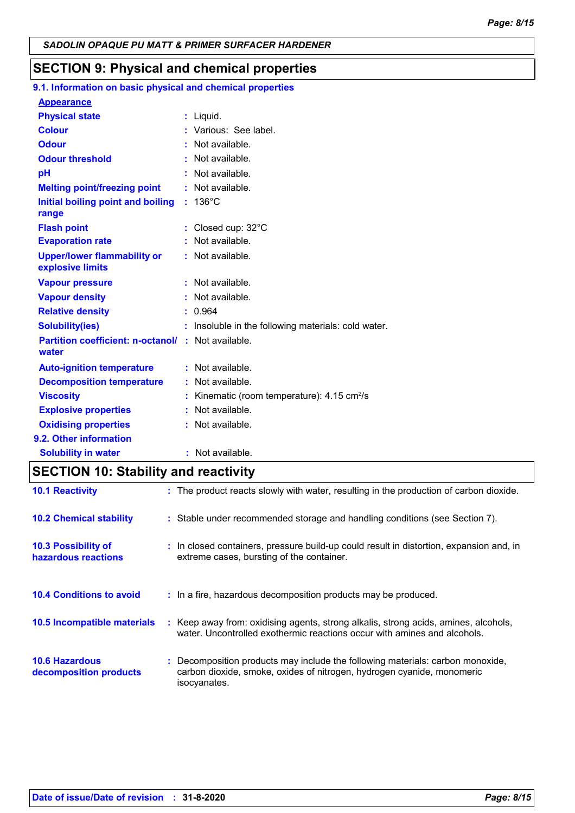## **SECTION 9: Physical and chemical properties**

### **9.1. Information on basic physical and chemical properties Appearance**

| <b>Appearance</b>                                                  |    |                                                       |
|--------------------------------------------------------------------|----|-------------------------------------------------------|
| <b>Physical state</b>                                              |    | : Liguid.                                             |
| <b>Colour</b>                                                      |    | Various: See label.                                   |
| <b>Odour</b>                                                       |    | Not available.                                        |
| <b>Odour threshold</b>                                             |    | Not available.                                        |
| pH                                                                 |    | Not available.                                        |
| <b>Melting point/freezing point</b>                                |    | Not available.                                        |
| Initial boiling point and boiling<br>range                         |    | $: 136^{\circ}$ C                                     |
| <b>Flash point</b>                                                 |    | : Closed cup: $32^{\circ}$ C                          |
| <b>Evaporation rate</b>                                            |    | Not available.                                        |
| <b>Upper/lower flammability or</b><br>explosive limits             |    | : Not available.                                      |
| <b>Vapour pressure</b>                                             |    | : Not available.                                      |
| <b>Vapour density</b>                                              |    | : Not available.                                      |
| <b>Relative density</b>                                            |    | : 0.964                                               |
| <b>Solubility(ies)</b>                                             |    | : Insoluble in the following materials: cold water.   |
| <b>Partition coefficient: n-octanol/ : Not available.</b><br>water |    |                                                       |
| <b>Auto-ignition temperature</b>                                   |    | : Not available.                                      |
| <b>Decomposition temperature</b>                                   |    | : Not available.                                      |
| <b>Viscosity</b>                                                   |    | Kinematic (room temperature): 4.15 cm <sup>2</sup> /s |
| <b>Explosive properties</b>                                        | t. | Not available.                                        |
| <b>Oxidising properties</b>                                        |    | : Not available.                                      |
| 9.2. Other information                                             |    |                                                       |
| <b>Solubility in water</b>                                         |    | : Not available.                                      |

## **SECTION 10: Stability and reactivity**

| <b>10.1 Reactivity</b>                            | : The product reacts slowly with water, resulting in the production of carbon dioxide.                                                                                 |
|---------------------------------------------------|------------------------------------------------------------------------------------------------------------------------------------------------------------------------|
| <b>10.2 Chemical stability</b>                    | : Stable under recommended storage and handling conditions (see Section 7).                                                                                            |
| <b>10.3 Possibility of</b><br>hazardous reactions | : In closed containers, pressure build-up could result in distortion, expansion and, in<br>extreme cases, bursting of the container.                                   |
| <b>10.4 Conditions to avoid</b>                   | : In a fire, hazardous decomposition products may be produced.                                                                                                         |
| 10.5 Incompatible materials                       | : Keep away from: oxidising agents, strong alkalis, strong acids, amines, alcohols,<br>water. Uncontrolled exothermic reactions occur with amines and alcohols.        |
| <b>10.6 Hazardous</b><br>decomposition products   | Decomposition products may include the following materials: carbon monoxide,<br>carbon dioxide, smoke, oxides of nitrogen, hydrogen cyanide, monomeric<br>isocyanates. |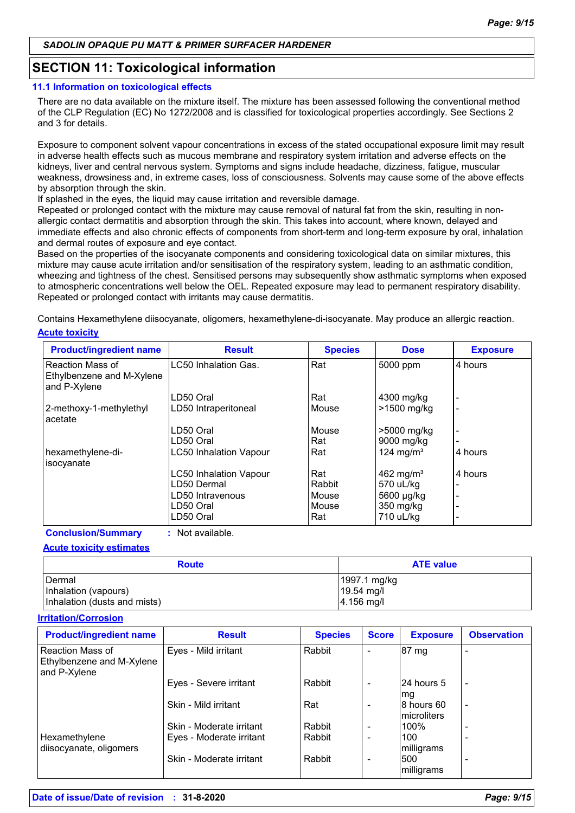## **SECTION 11: Toxicological information**

#### **11.1 Information on toxicological effects**

There are no data available on the mixture itself. The mixture has been assessed following the conventional method of the CLP Regulation (EC) No 1272/2008 and is classified for toxicological properties accordingly. See Sections 2 and 3 for details.

Exposure to component solvent vapour concentrations in excess of the stated occupational exposure limit may result in adverse health effects such as mucous membrane and respiratory system irritation and adverse effects on the kidneys, liver and central nervous system. Symptoms and signs include headache, dizziness, fatigue, muscular weakness, drowsiness and, in extreme cases, loss of consciousness. Solvents may cause some of the above effects by absorption through the skin.

If splashed in the eyes, the liquid may cause irritation and reversible damage.

Repeated or prolonged contact with the mixture may cause removal of natural fat from the skin, resulting in nonallergic contact dermatitis and absorption through the skin. This takes into account, where known, delayed and immediate effects and also chronic effects of components from short-term and long-term exposure by oral, inhalation and dermal routes of exposure and eye contact.

Based on the properties of the isocyanate components and considering toxicological data on similar mixtures, this mixture may cause acute irritation and/or sensitisation of the respiratory system, leading to an asthmatic condition, wheezing and tightness of the chest. Sensitised persons may subsequently show asthmatic symptoms when exposed to atmospheric concentrations well below the OEL. Repeated exposure may lead to permanent respiratory disability. Repeated or prolonged contact with irritants may cause dermatitis.

Contains Hexamethylene diisocyanate, oligomers, hexamethylene-di-isocyanate. May produce an allergic reaction.

#### **Acute toxicity**

| <b>Product/ingredient name</b>                                | <b>Result</b>                 | <b>Species</b> | <b>Dose</b>           | <b>Exposure</b> |
|---------------------------------------------------------------|-------------------------------|----------------|-----------------------|-----------------|
| Reaction Mass of<br>Ethylbenzene and M-Xylene<br>and P-Xylene | LC50 Inhalation Gas.          | Rat            | 5000 ppm              | 4 hours         |
|                                                               | LD50 Oral                     | Rat            | 4300 mg/kg            |                 |
| 2-methoxy-1-methylethyl<br>acetate                            | LD50 Intraperitoneal          | Mouse          | >1500 mg/kg           |                 |
|                                                               | LD50 Oral                     | Mouse          | $>5000$ mg/kg         |                 |
|                                                               | LD50 Oral                     | Rat            | 9000 mg/kg            |                 |
| hexamethylene-di-<br>isocyanate                               | <b>LC50 Inhalation Vapour</b> | Rat            | 124 mg/m <sup>3</sup> | 4 hours         |
|                                                               | <b>LC50 Inhalation Vapour</b> | Rat            | 462 mg/m <sup>3</sup> | 4 hours         |
|                                                               | LD50 Dermal                   | Rabbit         | 570 uL/kg             |                 |
|                                                               | LD50 Intravenous              | Mouse          | 5600 µg/kg            |                 |
|                                                               | LD50 Oral                     | Mouse          | 350 mg/kg             |                 |
|                                                               | LD50 Oral                     | Rat            | 710 uL/kg             |                 |

**Conclusion/Summary :** Not available.

#### **Acute toxicity estimates**

| <b>Route</b>                     | <b>ATE value</b>             |  |  |
|----------------------------------|------------------------------|--|--|
| l Dermal<br>Inhalation (vapours) | 1997.1 mg/kg<br>$19.54$ mg/l |  |  |
| Inhalation (dusts and mists)     | 4.156 mg/l                   |  |  |

#### **Irritation/Corrosion**

| <b>Product/ingredient name</b>                                | <b>Result</b>            | <b>Species</b> | <b>Score</b>             | <b>Exposure</b>                    | <b>Observation</b> |
|---------------------------------------------------------------|--------------------------|----------------|--------------------------|------------------------------------|--------------------|
| Reaction Mass of<br>Ethylbenzene and M-Xylene<br>and P-Xylene | Eyes - Mild irritant     | Rabbit         | ۰                        | 87 mg                              |                    |
|                                                               | Eyes - Severe irritant   | Rabbit         | $\overline{\phantom{0}}$ | 24 hours 5<br>mq                   |                    |
|                                                               | Skin - Mild irritant     | Rat            |                          | l8 hours 60<br><b>Imicroliters</b> |                    |
|                                                               | Skin - Moderate irritant | Rabbit         | -                        | 100%                               |                    |
| Hexamethylene<br>diisocyanate, oligomers                      | Eyes - Moderate irritant | Rabbit         | -                        | 100<br>milligrams                  |                    |
|                                                               | Skin - Moderate irritant | Rabbit         | -                        | 500<br>milligrams                  |                    |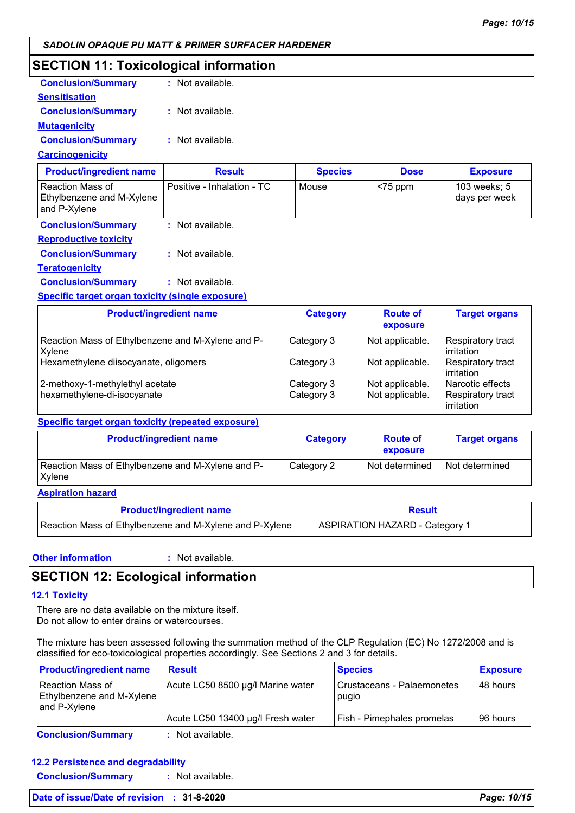## **SECTION 11: Toxicological information**

| <b>Conclusion/Summary</b> | : Not available. |
|---------------------------|------------------|
| <b>Sensitisation</b>      |                  |
| <b>Conclusion/Summary</b> | : Not available. |
| <b>Mutagenicity</b>       |                  |
| <b>Conclusion/Summary</b> | : Not available. |
| <b>Carcinogenicity</b>    |                  |

| <b>Product/ingredient name</b>                                  | <b>Result</b>              | <b>Species</b> | <b>Dose</b> | <b>Exposure</b>               |
|-----------------------------------------------------------------|----------------------------|----------------|-------------|-------------------------------|
| l Reaction Mass of<br>Ethylbenzene and M-Xylene<br>and P-Xylene | Positive - Inhalation - TC | Mouse          | $<$ 75 ppm  | 103 weeks; 5<br>days per week |

**Conclusion/Summary :** Not available. **Reproductive toxicity**

**Conclusion/Summary :** Not available.

**Teratogenicity**

**Conclusion/Summary :** Not available.

#### **Specific target organ toxicity (single exposure)**

| <b>Product/ingredient name</b>                                 | <b>Category</b>          | <b>Route of</b><br>exposure        | <b>Target organs</b>                                       |
|----------------------------------------------------------------|--------------------------|------------------------------------|------------------------------------------------------------|
| Reaction Mass of Ethylbenzene and M-Xylene and P-<br>Xylene    | Category 3               | Not applicable.                    | <b>Respiratory tract</b><br><b>lirritation</b>             |
| Hexamethylene diisocyanate, oligomers                          | Category 3               | Not applicable.                    | Respiratory tract<br>irritation                            |
| 2-methoxy-1-methylethyl acetate<br>hexamethylene-di-isocyanate | Category 3<br>Category 3 | Not applicable.<br>Not applicable. | <b>Narcotic effects</b><br>Respiratory tract<br>irritation |

#### **Specific target organ toxicity (repeated exposure)**

| <b>Product/ingredient name</b>                                     | <b>Category</b> | <b>Route of</b><br>exposure | <b>Target organs</b> |
|--------------------------------------------------------------------|-----------------|-----------------------------|----------------------|
| Reaction Mass of Ethylbenzene and M-Xylene and P-<br><b>Xylene</b> | Category 2      | Not determined              | Not determined       |

**Aspiration hazard**

| <b>Product/ingredient name</b>                          | Result                         |
|---------------------------------------------------------|--------------------------------|
| Reaction Mass of Ethylbenzene and M-Xylene and P-Xylene | ASPIRATION HAZARD - Category 1 |

**Other information :**

: Not available.

## **SECTION 12: Ecological information**

## **12.1 Toxicity**

There are no data available on the mixture itself. Do not allow to enter drains or watercourses.

The mixture has been assessed following the summation method of the CLP Regulation (EC) No 1272/2008 and is classified for eco-toxicological properties accordingly. See Sections 2 and 3 for details.

| <b>Product/ingredient name</b>                                  | <b>Result</b>                     | <b>Species</b>                        | <b>Exposure</b> |
|-----------------------------------------------------------------|-----------------------------------|---------------------------------------|-----------------|
| l Reaction Mass of<br>Ethylbenzene and M-Xylene<br>and P-Xylene | Acute LC50 8500 µg/l Marine water | l Crustaceans - Palaemonetes<br>pugio | 148 hours       |
|                                                                 | Acute LC50 13400 µg/l Fresh water | Fish - Pimephales promelas            | 96 hours        |
| <b>Conclusion/Summary</b>                                       | : Not available.                  |                                       |                 |

## **12.2 Persistence and degradability**

**Conclusion/Summary :** Not available.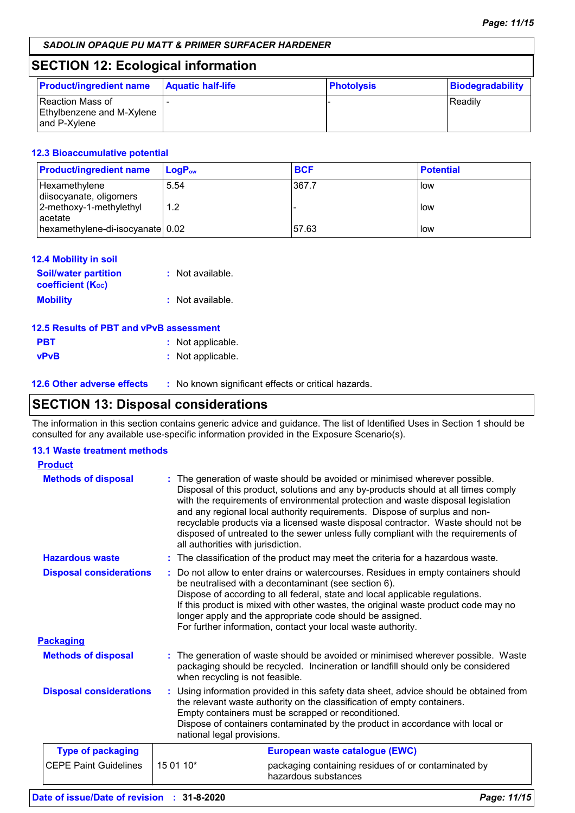## **SECTION 12: Ecological information**

| <b>Product/ingredient name</b>                                | <b>Aquatic half-life</b> | <b>Photolysis</b> | Biodegradability |
|---------------------------------------------------------------|--------------------------|-------------------|------------------|
| Reaction Mass of<br>Ethylbenzene and M-Xylene<br>and P-Xylene |                          |                   | Readily          |

### **12.3 Bioaccumulative potential**

| <b>Product/ingredient name</b>           | $Loa P_{ow}$ | <b>BCF</b> | <b>Potential</b> |
|------------------------------------------|--------------|------------|------------------|
| Hexamethylene<br>diisocyanate, oligomers | 5.54         | 367.7      | llow             |
| 2-methoxy-1-methylethyl<br>acetate       | 1.2          |            | l low            |
| hexamethylene-di-isocyanate   0.02       |              | 57.63      | l low            |

| <b>12.4 Mobility in soil</b>                            |                  |
|---------------------------------------------------------|------------------|
| <b>Soil/water partition</b><br><b>coefficient (Koc)</b> | : Not available. |
| <b>Mobility</b>                                         | : Not available. |

| 12.5 Results of PBT and vPvB assessment |                   |
|-----------------------------------------|-------------------|
| <b>PBT</b>                              | : Not applicable. |
| <b>vPvB</b>                             | : Not applicable. |

| <b>12.6 Other adverse effects</b> | No known significant effects or critical hazards. |
|-----------------------------------|---------------------------------------------------|
|-----------------------------------|---------------------------------------------------|

## **SECTION 13: Disposal considerations**

The information in this section contains generic advice and guidance. The list of Identified Uses in Section 1 should be consulted for any available use-specific information provided in the Exposure Scenario(s).

### **13.1 Waste treatment methods**

| <b>Product</b>                 |                            |                                                                                                                                                                                                                                                                                                                                                                                                                                                                                                                                                      |
|--------------------------------|----------------------------|------------------------------------------------------------------------------------------------------------------------------------------------------------------------------------------------------------------------------------------------------------------------------------------------------------------------------------------------------------------------------------------------------------------------------------------------------------------------------------------------------------------------------------------------------|
| <b>Methods of disposal</b>     |                            | : The generation of waste should be avoided or minimised wherever possible.<br>Disposal of this product, solutions and any by-products should at all times comply<br>with the requirements of environmental protection and waste disposal legislation<br>and any regional local authority requirements. Dispose of surplus and non-<br>recyclable products via a licensed waste disposal contractor. Waste should not be<br>disposed of untreated to the sewer unless fully compliant with the requirements of<br>all authorities with jurisdiction. |
| <b>Hazardous waste</b>         |                            | : The classification of the product may meet the criteria for a hazardous waste.                                                                                                                                                                                                                                                                                                                                                                                                                                                                     |
| <b>Disposal considerations</b> |                            | : Do not allow to enter drains or watercourses. Residues in empty containers should<br>be neutralised with a decontaminant (see section 6).<br>Dispose of according to all federal, state and local applicable regulations.<br>If this product is mixed with other wastes, the original waste product code may no<br>longer apply and the appropriate code should be assigned.<br>For further information, contact your local waste authority.                                                                                                       |
| <b>Packaging</b>               |                            |                                                                                                                                                                                                                                                                                                                                                                                                                                                                                                                                                      |
| <b>Methods of disposal</b>     |                            | : The generation of waste should be avoided or minimised wherever possible. Waste<br>packaging should be recycled. Incineration or landfill should only be considered<br>when recycling is not feasible.                                                                                                                                                                                                                                                                                                                                             |
| <b>Disposal considerations</b> | national legal provisions. | : Using information provided in this safety data sheet, advice should be obtained from<br>the relevant waste authority on the classification of empty containers.<br>Empty containers must be scrapped or reconditioned.<br>Dispose of containers contaminated by the product in accordance with local or                                                                                                                                                                                                                                            |
| <b>Type of packaging</b>       |                            | European waste catalogue (EWC)                                                                                                                                                                                                                                                                                                                                                                                                                                                                                                                       |
| <b>CEPE Paint Guidelines</b>   | 15 01 10*                  | packaging containing residues of or contaminated by<br>hazardous substances                                                                                                                                                                                                                                                                                                                                                                                                                                                                          |
| Date of issue/Date of revision | $: 31 - 8 - 2020$          | Page: 11/15                                                                                                                                                                                                                                                                                                                                                                                                                                                                                                                                          |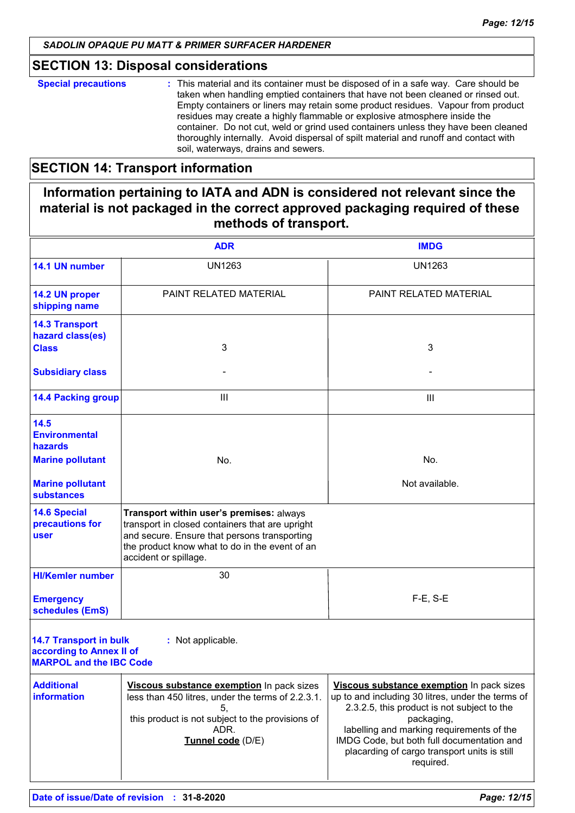## **SECTION 13: Disposal considerations**

**Special precautions :** This material and its container must be disposed of in a safe way. Care should be taken when handling emptied containers that have not been cleaned or rinsed out. Empty containers or liners may retain some product residues. Vapour from product residues may create a highly flammable or explosive atmosphere inside the container. Do not cut, weld or grind used containers unless they have been cleaned thoroughly internally. Avoid dispersal of spilt material and runoff and contact with soil, waterways, drains and sewers.

## **SECTION 14: Transport information**

## **Information pertaining to IATA and ADN is considered not relevant since the material is not packaged in the correct approved packaging required of these methods of transport.**

|                                                                                             | <b>ADR</b>                                                                                                                                                                                                             | <b>IMDG</b>                                                                                                                                                                                                                                                                                                         |
|---------------------------------------------------------------------------------------------|------------------------------------------------------------------------------------------------------------------------------------------------------------------------------------------------------------------------|---------------------------------------------------------------------------------------------------------------------------------------------------------------------------------------------------------------------------------------------------------------------------------------------------------------------|
| 14.1 UN number                                                                              | <b>UN1263</b>                                                                                                                                                                                                          | <b>UN1263</b>                                                                                                                                                                                                                                                                                                       |
| 14.2 UN proper<br>shipping name                                                             | PAINT RELATED MATERIAL                                                                                                                                                                                                 | PAINT RELATED MATERIAL                                                                                                                                                                                                                                                                                              |
| <b>14.3 Transport</b><br>hazard class(es)<br><b>Class</b>                                   | 3                                                                                                                                                                                                                      | 3                                                                                                                                                                                                                                                                                                                   |
| <b>Subsidiary class</b>                                                                     |                                                                                                                                                                                                                        |                                                                                                                                                                                                                                                                                                                     |
| <b>14.4 Packing group</b>                                                                   | Ш                                                                                                                                                                                                                      | Ш                                                                                                                                                                                                                                                                                                                   |
| 14.5<br><b>Environmental</b><br>hazards                                                     |                                                                                                                                                                                                                        |                                                                                                                                                                                                                                                                                                                     |
| <b>Marine pollutant</b>                                                                     | No.                                                                                                                                                                                                                    | No.                                                                                                                                                                                                                                                                                                                 |
| <b>Marine pollutant</b><br><b>substances</b>                                                |                                                                                                                                                                                                                        | Not available.                                                                                                                                                                                                                                                                                                      |
| <b>14.6 Special</b><br>precautions for<br><b>user</b>                                       | Transport within user's premises: always<br>transport in closed containers that are upright<br>and secure. Ensure that persons transporting<br>the product know what to do in the event of an<br>accident or spillage. |                                                                                                                                                                                                                                                                                                                     |
| <b>HI/Kemler number</b>                                                                     | 30                                                                                                                                                                                                                     |                                                                                                                                                                                                                                                                                                                     |
| <b>Emergency</b><br>schedules (EmS)                                                         |                                                                                                                                                                                                                        | $F-E$ , S-E                                                                                                                                                                                                                                                                                                         |
| <b>14.7 Transport in bulk</b><br>according to Annex II of<br><b>MARPOL and the IBC Code</b> | : Not applicable.                                                                                                                                                                                                      |                                                                                                                                                                                                                                                                                                                     |
| <b>Additional</b><br>information                                                            | Viscous substance exemption In pack sizes<br>less than 450 litres, under the terms of 2.2.3.1.<br>5,<br>this product is not subject to the provisions of<br>ADR.<br>Tunnel code (D/E)                                  | Viscous substance exemption In pack sizes<br>up to and including 30 litres, under the terms of<br>2.3.2.5, this product is not subject to the<br>packaging,<br>labelling and marking requirements of the<br>IMDG Code, but both full documentation and<br>placarding of cargo transport units is still<br>required. |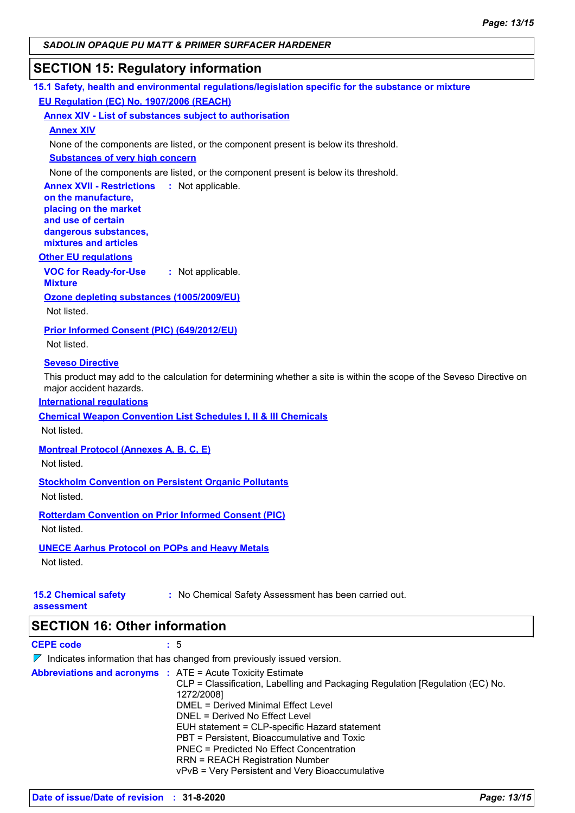## **SECTION 15: Regulatory information**

| 15.1 Safety, health and environmental regulations/legislation specific for the substance or mixture |  |
|-----------------------------------------------------------------------------------------------------|--|
| <b>EU Regulation (EC) No. 1907/2006 (REACH)</b>                                                     |  |

**Annex XIV - List of substances subject to authorisation**

#### **Annex XIV**

None of the components are listed, or the component present is below its threshold.

**Substances of very high concern**

None of the components are listed, or the component present is below its threshold.

**Annex XVII - Restrictions : Not applicable. on the manufacture,**

**placing on the market and use of certain dangerous substances, mixtures and articles**

#### **Other EU regulations**

**VOC for Ready-for-Use Mixture :** Not applicable.

**Ozone depleting substances (1005/2009/EU)**

Not listed.

**Prior Informed Consent (PIC) (649/2012/EU)**

Not listed.

#### **Seveso Directive**

This product may add to the calculation for determining whether a site is within the scope of the Seveso Directive on major accident hazards.

#### **International regulations**

**Chemical Weapon Convention List Schedules I, II & III Chemicals**

Not listed.

**Montreal Protocol (Annexes A, B, C, E)**

Not listed.

**Stockholm Convention on Persistent Organic Pollutants**

Not listed.

**Rotterdam Convention on Prior Informed Consent (PIC)** Not listed.

#### **UNECE Aarhus Protocol on POPs and Heavy Metals**

Not listed.

**15.2 Chemical safety :** No Chemical Safety Assessment has been carried out.

**assessment**

## **SECTION 16: Other information**

**CEPE code :** 5

| $\nabla$ Indicates information that has changed from previously issued version.                                                                                                                                                                                                                                                                                                                                                 |
|---------------------------------------------------------------------------------------------------------------------------------------------------------------------------------------------------------------------------------------------------------------------------------------------------------------------------------------------------------------------------------------------------------------------------------|
| <b>Abbreviations and acronyms :</b> ATE = Acute Toxicity Estimate<br>CLP = Classification, Labelling and Packaging Regulation [Regulation (EC) No.<br>1272/2008]<br>DMEL = Derived Minimal Effect Level<br>DNEL = Derived No Effect Level<br>EUH statement = CLP-specific Hazard statement<br>PBT = Persistent, Bioaccumulative and Toxic<br>PNEC = Predicted No Effect Concentration<br><b>RRN = REACH Registration Number</b> |
| vPvB = Very Persistent and Very Bioaccumulative                                                                                                                                                                                                                                                                                                                                                                                 |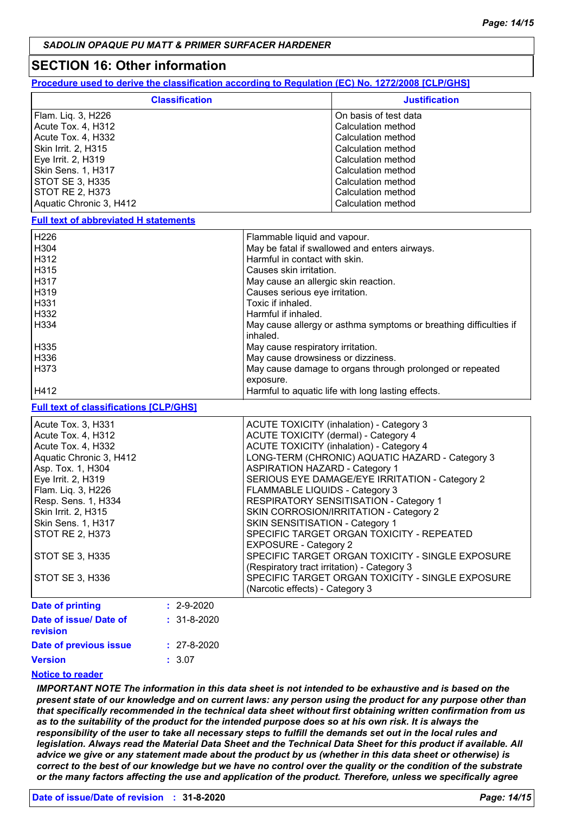## **SECTION 16: Other information**

| Procedure used to derive the classification according to Regulation (EC) No. 1272/2008 [CLP/GHS] |
|--------------------------------------------------------------------------------------------------|
|--------------------------------------------------------------------------------------------------|

| <b>Classification</b>                         |                                                                   | <b>Justification</b>                             |  |
|-----------------------------------------------|-------------------------------------------------------------------|--------------------------------------------------|--|
| Flam. Liq. 3, H226                            |                                                                   | On basis of test data                            |  |
| Acute Tox. 4, H312                            |                                                                   | Calculation method                               |  |
| Acute Tox. 4, H332                            |                                                                   | Calculation method                               |  |
| Skin Irrit. 2, H315                           |                                                                   | Calculation method                               |  |
| Eye Irrit. 2, H319                            |                                                                   | Calculation method                               |  |
| Skin Sens. 1, H317                            |                                                                   | Calculation method                               |  |
| <b>STOT SE 3, H335</b>                        |                                                                   | Calculation method                               |  |
| <b>STOT RE 2, H373</b>                        |                                                                   | Calculation method                               |  |
| Aquatic Chronic 3, H412                       |                                                                   | Calculation method                               |  |
| <b>Full text of abbreviated H statements</b>  |                                                                   |                                                  |  |
| H226                                          | Flammable liquid and vapour.                                      |                                                  |  |
| H304                                          | May be fatal if swallowed and enters airways.                     |                                                  |  |
| H312                                          | Harmful in contact with skin.                                     |                                                  |  |
| H315                                          | Causes skin irritation.                                           |                                                  |  |
| H317                                          | May cause an allergic skin reaction.                              |                                                  |  |
| H319                                          | Causes serious eye irritation.                                    |                                                  |  |
| H331                                          | Toxic if inhaled.                                                 |                                                  |  |
| H332                                          | Harmful if inhaled.                                               |                                                  |  |
| H334                                          | May cause allergy or asthma symptoms or breathing difficulties if |                                                  |  |
|                                               | inhaled.                                                          |                                                  |  |
| H335                                          | May cause respiratory irritation.                                 |                                                  |  |
| H336                                          | May cause drowsiness or dizziness.                                |                                                  |  |
| H373                                          | May cause damage to organs through prolonged or repeated          |                                                  |  |
|                                               | exposure.                                                         |                                                  |  |
| H412                                          | Harmful to aquatic life with long lasting effects.                |                                                  |  |
| <b>Full text of classifications [CLP/GHS]</b> |                                                                   |                                                  |  |
| Acute Tox. 3, H331                            | ACUTE TOXICITY (inhalation) - Category 3                          |                                                  |  |
| Acute Tox. 4, H312                            | ACUTE TOXICITY (dermal) - Category 4                              |                                                  |  |
| Acute Tox. 4, H332                            | <b>ACUTE TOXICITY (inhalation) - Category 4</b>                   |                                                  |  |
| Aquatic Chronic 3, H412                       | LONG-TERM (CHRONIC) AQUATIC HAZARD - Category 3                   |                                                  |  |
| Asp. Tox. 1, H304                             | <b>ASPIRATION HAZARD - Category 1</b>                             |                                                  |  |
| Eye Irrit. 2, H319                            | SERIOUS EYE DAMAGE/EYE IRRITATION - Category 2                    |                                                  |  |
| Flam. Liq. 3, H226                            | FLAMMABLE LIQUIDS - Category 3                                    |                                                  |  |
| Resp. Sens. 1, H334                           | RESPIRATORY SENSITISATION - Category 1                            |                                                  |  |
| Skin Irrit. 2, H315                           | SKIN CORROSION/IRRITATION - Category 2                            |                                                  |  |
| Skin Sens. 1, H317                            | SKIN SENSITISATION - Category 1                                   |                                                  |  |
| <b>STOT RE 2, H373</b>                        | SPECIFIC TARGET ORGAN TOXICITY - REPEATED                         |                                                  |  |
|                                               | <b>EXPOSURE - Category 2</b>                                      |                                                  |  |
| <b>STOT SE 3, H335</b>                        |                                                                   | SPECIFIC TARGET ORGAN TOXICITY - SINGLE EXPOSURE |  |
|                                               | (Respiratory tract irritation) - Category 3                       |                                                  |  |
| STOT SE 3, H336                               |                                                                   | SPECIFIC TARGET ORGAN TOXICITY - SINGLE EXPOSURE |  |
|                                               | (Narcotic effects) - Category 3                                   |                                                  |  |
|                                               |                                                                   |                                                  |  |
| <b>Date of printing</b><br>$: 2 - 9 - 2020$   |                                                                   |                                                  |  |

| <b>Date of printing</b>            | . 2-9-2020        |
|------------------------------------|-------------------|
| Date of issue/ Date of<br>revision | $: 31 - 8 - 2020$ |
| Date of previous issue             | $: 27 - 8 - 2020$ |
| <b>Version</b>                     | : 3.07            |
| Notice to reader                   |                   |

#### **Notice to reader**

*IMPORTANT NOTE The information in this data sheet is not intended to be exhaustive and is based on the present state of our knowledge and on current laws: any person using the product for any purpose other than that specifically recommended in the technical data sheet without first obtaining written confirmation from us*  as to the suitability of the product for the intended purpose does so at his own risk. It is always the *responsibility of the user to take all necessary steps to fulfill the demands set out in the local rules and legislation. Always read the Material Data Sheet and the Technical Data Sheet for this product if available. All advice we give or any statement made about the product by us (whether in this data sheet or otherwise) is correct to the best of our knowledge but we have no control over the quality or the condition of the substrate or the many factors affecting the use and application of the product. Therefore, unless we specifically agree*